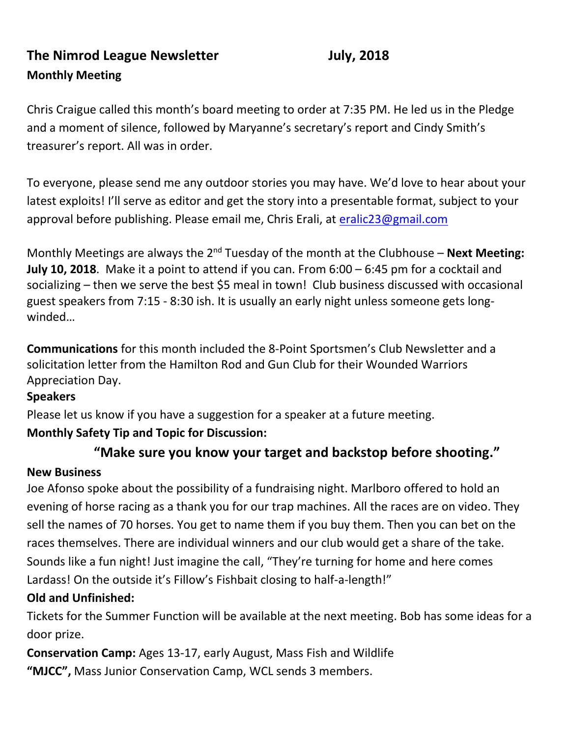# **The Nimrod League Newsletter July, 2018 Monthly Meeting**

Chris Craigue called this month's board meeting to order at 7:35 PM. He led us in the Pledge and a moment of silence, followed by Maryanne's secretary's report and Cindy Smith's treasurer's report. All was in order.

To everyone, please send me any outdoor stories you may have. We'd love to hear about your latest exploits! I'll serve as editor and get the story into a presentable format, subject to your approval before publishing. Please email me, Chris Erali, at [eralic23@gmail.com](mailto:eralic23@gmail.com)

Monthly Meetings are always the 2<sup>nd</sup> Tuesday of the month at the Clubhouse – **Next Meeting: July 10, 2018**. Make it a point to attend if you can. From 6:00 – 6:45 pm for a cocktail and socializing – then we serve the best \$5 meal in town! Club business discussed with occasional guest speakers from 7:15 - 8:30 ish. It is usually an early night unless someone gets longwinded…

**Communications** for this month included the 8-Point Sportsmen's Club Newsletter and a solicitation letter from the Hamilton Rod and Gun Club for their Wounded Warriors Appreciation Day.

### **Speakers**

Please let us know if you have a suggestion for a speaker at a future meeting.

## **Monthly Safety Tip and Topic for Discussion:**

## **"Make sure you know your target and backstop before shooting."**

## **New Business**

Joe Afonso spoke about the possibility of a fundraising night. Marlboro offered to hold an evening of horse racing as a thank you for our trap machines. All the races are on video. They sell the names of 70 horses. You get to name them if you buy them. Then you can bet on the races themselves. There are individual winners and our club would get a share of the take. Sounds like a fun night! Just imagine the call, "They're turning for home and here comes Lardass! On the outside it's Fillow's Fishbait closing to half-a-length!"

## **Old and Unfinished:**

Tickets for the Summer Function will be available at the next meeting. Bob has some ideas for a door prize.

**Conservation Camp:** Ages 13-17, early August, Mass Fish and Wildlife

**"MJCC",** Mass Junior Conservation Camp, WCL sends 3 members.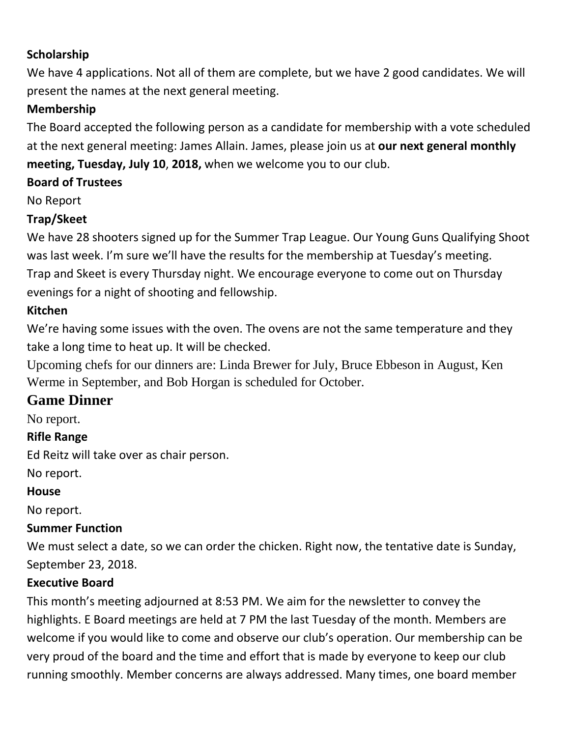## **Scholarship**

We have 4 applications. Not all of them are complete, but we have 2 good candidates. We will present the names at the next general meeting.

## **Membership**

The Board accepted the following person as a candidate for membership with a vote scheduled at the next general meeting: James Allain. James, please join us at **our next general monthly meeting, Tuesday, July 10**, **2018,** when we welcome you to our club.

## **Board of Trustees**

No Report

## **Trap/Skeet**

We have 28 shooters signed up for the Summer Trap League. Our Young Guns Qualifying Shoot was last week. I'm sure we'll have the results for the membership at Tuesday's meeting. Trap and Skeet is every Thursday night. We encourage everyone to come out on Thursday evenings for a night of shooting and fellowship.

## **Kitchen**

We're having some issues with the oven. The ovens are not the same temperature and they take a long time to heat up. It will be checked.

Upcoming chefs for our dinners are: Linda Brewer for July, Bruce Ebbeson in August, Ken Werme in September, and Bob Horgan is scheduled for October.

## **Game Dinner**

No report.

## **Rifle Range**

Ed Reitz will take over as chair person.

No report.

### **House**

No report.

## **Summer Function**

We must select a date, so we can order the chicken. Right now, the tentative date is Sunday, September 23, 2018.

## **Executive Board**

This month's meeting adjourned at 8:53 PM. We aim for the newsletter to convey the highlights. E Board meetings are held at 7 PM the last Tuesday of the month. Members are welcome if you would like to come and observe our club's operation. Our membership can be very proud of the board and the time and effort that is made by everyone to keep our club running smoothly. Member concerns are always addressed. Many times, one board member